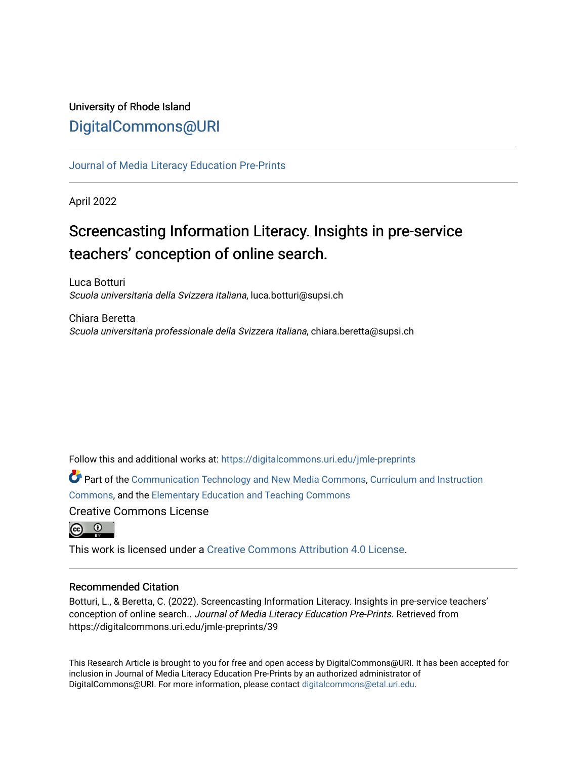# University of Rhode Island [DigitalCommons@URI](https://digitalcommons.uri.edu/)

[Journal of Media Literacy Education Pre-Prints](https://digitalcommons.uri.edu/jmle-preprints)

April 2022

# Screencasting Information Literacy. Insights in pre-service teachers' conception of online search.

Luca Botturi Scuola universitaria della Svizzera italiana, luca.botturi@supsi.ch

Chiara Beretta Scuola universitaria professionale della Svizzera italiana, chiara.beretta@supsi.ch

Follow this and additional works at: [https://digitalcommons.uri.edu/jmle-preprints](https://digitalcommons.uri.edu/jmle-preprints?utm_source=digitalcommons.uri.edu%2Fjmle-preprints%2F39&utm_medium=PDF&utm_campaign=PDFCoverPages) 

Part of the [Communication Technology and New Media Commons,](http://network.bepress.com/hgg/discipline/327?utm_source=digitalcommons.uri.edu%2Fjmle-preprints%2F39&utm_medium=PDF&utm_campaign=PDFCoverPages) [Curriculum and Instruction](http://network.bepress.com/hgg/discipline/786?utm_source=digitalcommons.uri.edu%2Fjmle-preprints%2F39&utm_medium=PDF&utm_campaign=PDFCoverPages) [Commons](http://network.bepress.com/hgg/discipline/786?utm_source=digitalcommons.uri.edu%2Fjmle-preprints%2F39&utm_medium=PDF&utm_campaign=PDFCoverPages), and the [Elementary Education and Teaching Commons](http://network.bepress.com/hgg/discipline/805?utm_source=digitalcommons.uri.edu%2Fjmle-preprints%2F39&utm_medium=PDF&utm_campaign=PDFCoverPages) 

Creative Commons License



This work is licensed under a [Creative Commons Attribution 4.0 License](https://creativecommons.org/licenses/by/4.0/).

#### Recommended Citation

Botturi, L., & Beretta, C. (2022). Screencasting Information Literacy. Insights in pre-service teachers' conception of online search.. Journal of Media Literacy Education Pre-Prints. Retrieved from https://digitalcommons.uri.edu/jmle-preprints/39

This Research Article is brought to you for free and open access by DigitalCommons@URI. It has been accepted for inclusion in Journal of Media Literacy Education Pre-Prints by an authorized administrator of DigitalCommons@URI. For more information, please contact [digitalcommons@etal.uri.edu.](mailto:digitalcommons@etal.uri.edu)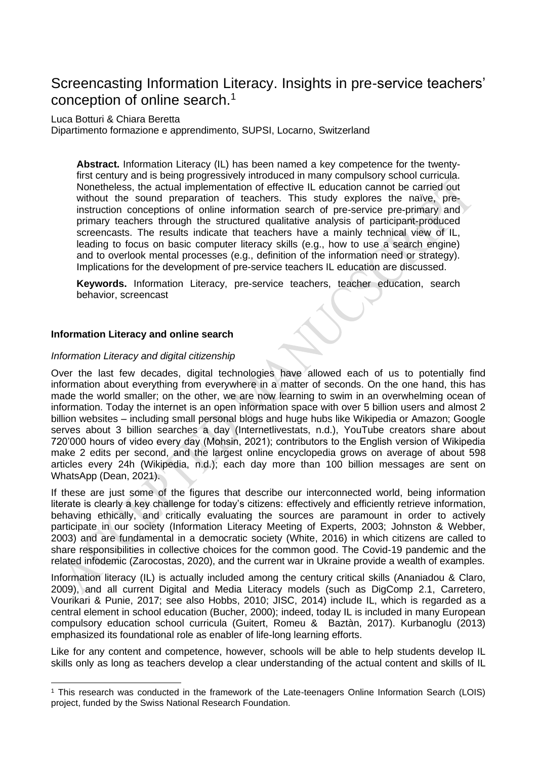# Screencasting Information Literacy. Insights in pre-service teachers' conception of online search.<sup>1</sup>

#### Luca Botturi & Chiara Beretta

Dipartimento formazione e apprendimento, SUPSI, Locarno, Switzerland

**Abstract.** Information Literacy (IL) has been named a key competence for the twentyfirst century and is being progressively introduced in many compulsory school curricula. Nonetheless, the actual implementation of effective IL education cannot be carried out without the sound preparation of teachers. This study explores the naïve, preinstruction conceptions of online information search of pre-service pre-primary and primary teachers through the structured qualitative analysis of participant-produced screencasts. The results indicate that teachers have a mainly technical view of IL, leading to focus on basic computer literacy skills (e.g., how to use a search engine) and to overlook mental processes (e.g., definition of the information need or strategy). Implications for the development of pre-service teachers IL education are discussed.

Keywords. Information Literacy, pre-service teachers, teacher education, search behavior, screencast

#### **Information Literacy and online search**

#### *Information Literacy and digital citizenship*

Over the last few decades, digital technologies have allowed each of us to potentially find information about everything from everywhere in a matter of seconds. On the one hand, this has made the world smaller; on the other, we are now learning to swim in an overwhelming ocean of information. Today the internet is an open information space with over 5 billion users and almost 2 billion websites – including small personal blogs and huge hubs like Wikipedia or Amazon; Google serves about 3 billion searches a day (Internetlivestats, n.d.), YouTube creators share about 720'000 hours of video every day (Mohsin, 2021); contributors to the English version of Wikipedia make 2 edits per second, and the largest online encyclopedia grows on average of about 598 articles every 24h (Wikipedia, n.d.); each day more than 100 billion messages are sent on WhatsApp (Dean, 2021).

If these are just some of the figures that describe our interconnected world, being information literate is clearly a key challenge for today's citizens: effectively and efficiently retrieve information, behaving ethically, and critically evaluating the sources are paramount in order to actively participate in our society (Information Literacy Meeting of Experts, 2003; Johnston & Webber, 2003) and are fundamental in a democratic society (White, 2016) in which citizens are called to share responsibilities in collective choices for the common good. The Covid-19 pandemic and the related infodemic (Zarocostas, 2020), and the current war in Ukraine provide a wealth of examples.

Information literacy (IL) is actually included among the century critical skills (Ananiadou & Claro, 2009), and all current Digital and Media Literacy models (such as DigComp 2.1, Carretero, Vourikari & Punie, 2017; see also Hobbs, 2010; JISC, 2014) include IL, which is regarded as a central element in school education (Bucher, 2000); indeed, today IL is included in many European compulsory education school curricula (Guitert, Romeu & Baztàn, 2017). Kurbanoglu (2013) emphasized its foundational role as enabler of life-long learning efforts.

Like for any content and competence, however, schools will be able to help students develop IL skills only as long as teachers develop a clear understanding of the actual content and skills of IL

<sup>&</sup>lt;sup>1</sup> This research was conducted in the framework of the Late-teenagers Online Information Search (LOIS) project, funded by the Swiss National Research Foundation.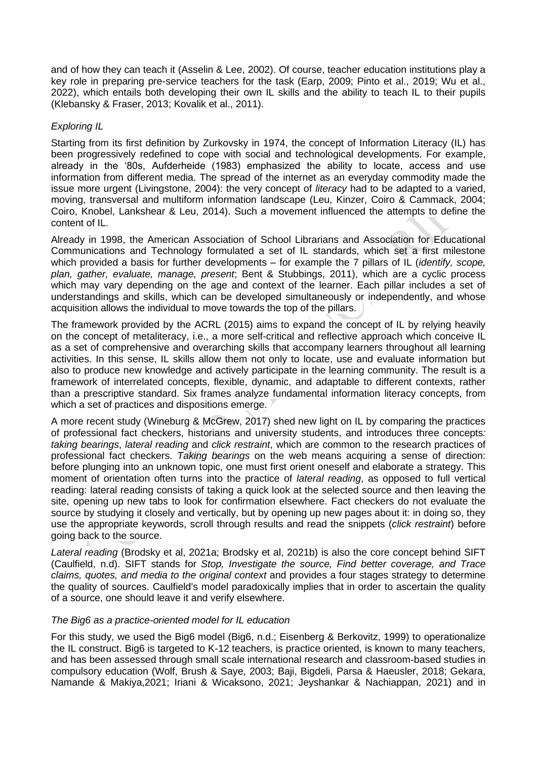and of how they can teach it (Asselin & Lee, 2002). Of course, teacher education institutions play a key role in preparing pre-service teachers for the task (Earp, 2009; Pinto et al., 2019; Wu et al., 2022), which entails both developing their own IL skills and the ability to teach IL to their pupils (Klebansky & Fraser, 2013; Kovalik et al., 2011).

# *Exploring IL*

Starting from its first definition by Zurkovsky in 1974, the concept of Information Literacy (IL) has been progressively redefined to cope with social and technological developments. For example, already in the '80s, Aufderheide (1983) emphasized the ability to locate, access and use information from different media. The spread of the internet as an everyday commodity made the issue more urgent (Livingstone, 2004): the very concept of *literacy* had to be adapted to a varied, moving, transversal and multiform information landscape (Leu, Kinzer, Coiro & Cammack, 2004; Coiro, Knobel, Lankshear & Leu, 2014). Such a movement influenced the attempts to define the content of IL.

Already in 1998, the American Association of School Librarians and Association for Educational Communications and Technology formulated a set of IL standards, which set a first milestone which provided a basis for further developments – for example the 7 pillars of IL (*identify, scope, plan, gather, evaluate, manage, present*; Bent & Stubbings, 2011), which are a cyclic process which may vary depending on the age and context of the learner. Each pillar includes a set of understandings and skills, which can be developed simultaneously or independently, and whose acquisition allows the individual to move towards the top of the pillars.

The framework provided by the ACRL (2015) aims to expand the concept of IL by relying heavily on the concept of metaliteracy, i.e., a more self-critical and reflective approach which conceive IL as a set of comprehensive and overarching skills that accompany learners throughout all learning activities. In this sense, IL skills allow them not only to locate, use and evaluate information but also to produce new knowledge and actively participate in the learning community. The result is a framework of interrelated concepts, flexible, dynamic, and adaptable to different contexts, rather than a prescriptive standard. Six frames analyze fundamental information literacy concepts, from which a set of practices and dispositions emerge.

A more recent study (Wineburg & McGrew, 2017) shed new light on IL by comparing the practices of professional fact checkers, historians and university students, and introduces three concepts*: taking bearings*, *lateral reading* and *click restraint*, which are common to the research practices of professional fact checkers. *Taking bearings* on the web means acquiring a sense of direction: before plunging into an unknown topic, one must first orient oneself and elaborate a strategy. This moment of orientation often turns into the practice of *lateral reading*, as opposed to full vertical reading: lateral reading consists of taking a quick look at the selected source and then leaving the site, opening up new tabs to look for confirmation elsewhere. Fact checkers do not evaluate the source by studying it closely and vertically, but by opening up new pages about it: in doing so, they use the appropriate keywords, scroll through results and read the snippets (*click restraint*) before going back to the source.

*Lateral reading* (Brodsky et al, 2021a; Brodsky et al, 2021b) is also the core concept behind SIFT (Caulfield, n.d). SIFT stands for *Stop, Investigate the source, Find better coverage, and Trace claims, quotes, and media to the original context* and provides a four stages strategy to determine the quality of sources. Caulfield's model paradoxically implies that in order to ascertain the quality of a source, one should leave it and verify elsewhere.

# *The Big6 as a practice-oriented model for IL education*

For this study, we used the Big6 model (Big6, n.d.; Eisenberg & Berkovitz, 1999) to operationalize the IL construct. Big6 is targeted to K-12 teachers, is practice oriented, is known to many teachers, and has been assessed through small scale international research and classroom-based studies in compulsory education (Wolf, Brush & Saye, 2003; Baji, Bigdeli, Parsa & Haeusler, 2018; Gekara, Namande & Makiya,2021; Iriani & Wicaksono, 2021; Jeyshankar & Nachiappan, 2021) and in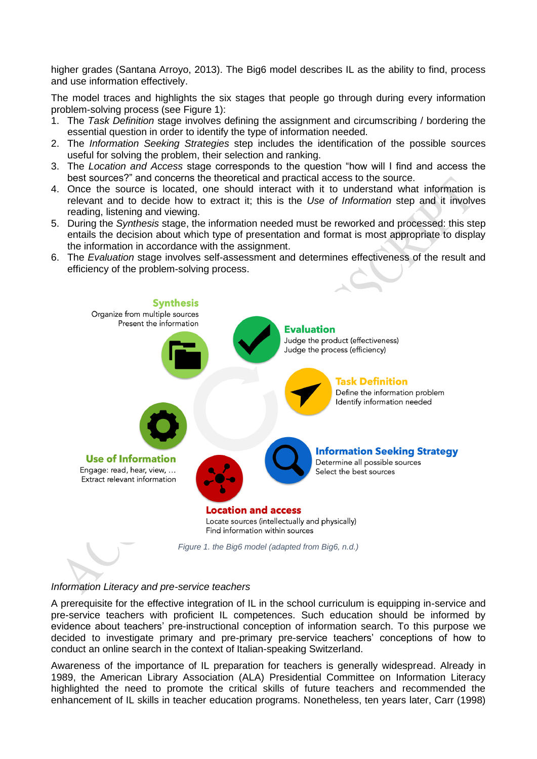higher grades (Santana Arroyo, 2013). The Big6 model describes IL as the ability to find, process and use information effectively.

The model traces and highlights the six stages that people go through during every information problem-solving process (see Figure 1):

- 1. The *Task Definition* stage involves defining the assignment and circumscribing / bordering the essential question in order to identify the type of information needed.
- 2. The *Information Seeking Strategies* step includes the identification of the possible sources useful for solving the problem, their selection and ranking.
- 3. The *Location and Access* stage corresponds to the question "how will I find and access the best sources?" and concerns the theoretical and practical access to the source.
- 4. Once the source is located, one should interact with it to understand what information is relevant and to decide how to extract it; this is the *Use of Information* step and it involves reading, listening and viewing.
- 5. During the *Synthesis* stage, the information needed must be reworked and processed: this step entails the decision about which type of presentation and format is most appropriate to display the information in accordance with the assignment.





#### *Information Literacy and pre-service teachers*

A prerequisite for the effective integration of IL in the school curriculum is equipping in-service and pre-service teachers with proficient IL competences. Such education should be informed by evidence about teachers' pre-instructional conception of information search. To this purpose we decided to investigate primary and pre-primary pre-service teachers' conceptions of how to conduct an online search in the context of Italian-speaking Switzerland.

Awareness of the importance of IL preparation for teachers is generally widespread. Already in 1989, the American Library Association (ALA) Presidential Committee on Information Literacy highlighted the need to promote the critical skills of future teachers and recommended the enhancement of IL skills in teacher education programs. Nonetheless, ten years later, Carr (1998)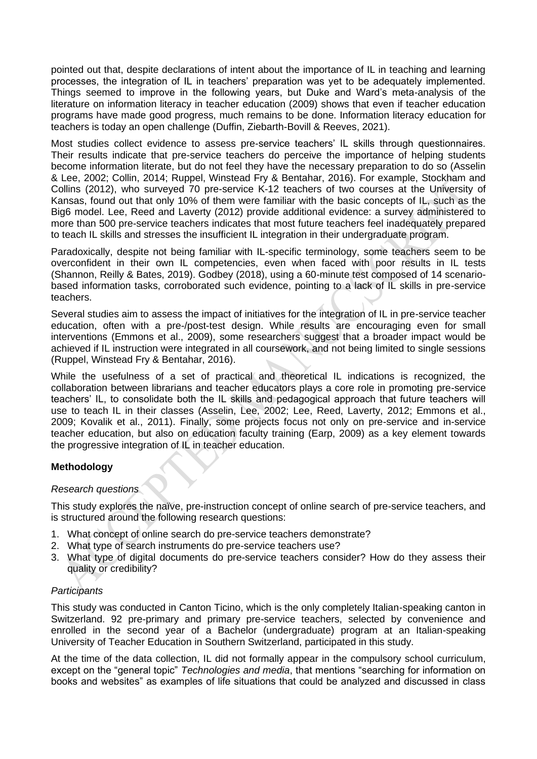pointed out that, despite declarations of intent about the importance of IL in teaching and learning processes, the integration of IL in teachers' preparation was yet to be adequately implemented. Things seemed to improve in the following years, but Duke and Ward's meta-analysis of the literature on information literacy in teacher education (2009) shows that even if teacher education programs have made good progress, much remains to be done. Information literacy education for teachers is today an open challenge (Duffin, Ziebarth-Bovill & Reeves, 2021).

Most studies collect evidence to assess pre-service teachers' IL skills through questionnaires. Their results indicate that pre-service teachers do perceive the importance of helping students become information literate, but do not feel they have the necessary preparation to do so (Asselin & Lee, 2002; Collin, 2014; Ruppel, Winstead Fry & Bentahar, 2016). For example, Stockham and Collins (2012), who surveyed 70 pre-service K-12 teachers of two courses at the University of Kansas, found out that only 10% of them were familiar with the basic concepts of IL, such as the Big6 model. Lee, Reed and Laverty (2012) provide additional evidence: a survey administered to more than 500 pre-service teachers indicates that most future teachers feel inadequately prepared to teach IL skills and stresses the insufficient IL integration in their undergraduate program.

Paradoxically, despite not being familiar with IL-specific terminology, some teachers seem to be overconfident in their own IL competencies, even when faced with poor results in IL tests (Shannon, Reilly & Bates, 2019). Godbey (2018), using a 60-minute test composed of 14 scenariobased information tasks, corroborated such evidence, pointing to a lack of IL skills in pre-service teachers.

Several studies aim to assess the impact of initiatives for the integration of IL in pre-service teacher education, often with a pre-/post-test design. While results are encouraging even for small interventions (Emmons et al., 2009), some researchers suggest that a broader impact would be achieved if IL instruction were integrated in all coursework, and not being limited to single sessions (Ruppel, Winstead Fry & Bentahar, 2016).

While the usefulness of a set of practical and theoretical IL indications is recognized, the collaboration between librarians and teacher educators plays a core role in promoting pre-service teachers' IL, to consolidate both the IL skills and pedagogical approach that future teachers will use to teach IL in their classes (Asselin, Lee, 2002; Lee, Reed, Laverty, 2012; Emmons et al., 2009; Kovalik et al., 2011). Finally, some projects focus not only on pre-service and in-service teacher education, but also on education faculty training (Earp, 2009) as a key element towards the progressive integration of IL in teacher education.

# **Methodology**

# *Research questions*

This study explores the naïve, pre-instruction concept of online search of pre-service teachers, and is structured around the following research questions:

- 1. What concept of online search do pre-service teachers demonstrate?
- 2. What type of search instruments do pre-service teachers use?
- 3. What type of digital documents do pre-service teachers consider? How do they assess their quality or credibility?

# *Participants*

This study was conducted in Canton Ticino, which is the only completely Italian-speaking canton in Switzerland. 92 pre-primary and primary pre-service teachers, selected by convenience and enrolled in the second year of a Bachelor (undergraduate) program at an Italian-speaking University of Teacher Education in Southern Switzerland, participated in this study.

At the time of the data collection, IL did not formally appear in the compulsory school curriculum, except on the "general topic" *Technologies and media*, that mentions "searching for information on books and websites" as examples of life situations that could be analyzed and discussed in class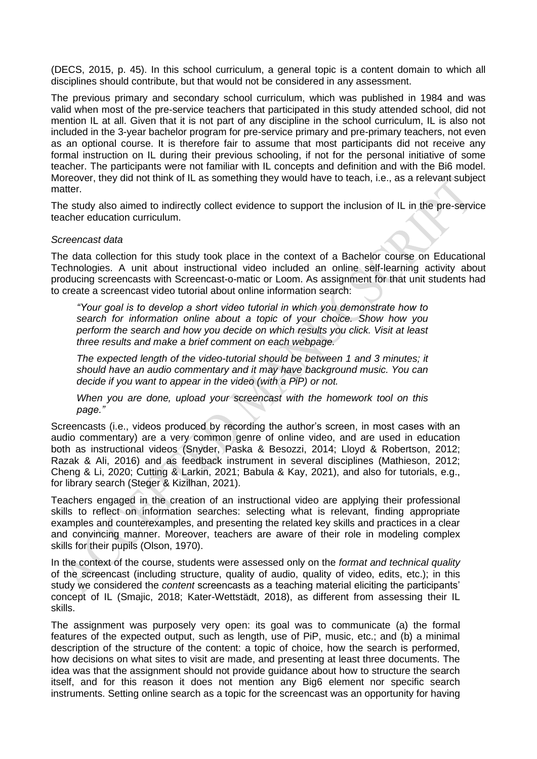(DECS, 2015, p. 45). In this school curriculum, a general topic is a content domain to which all disciplines should contribute, but that would not be considered in any assessment.

The previous primary and secondary school curriculum, which was published in 1984 and was valid when most of the pre-service teachers that participated in this study attended school, did not mention IL at all. Given that it is not part of any discipline in the school curriculum, IL is also not included in the 3-year bachelor program for pre-service primary and pre-primary teachers, not even as an optional course. It is therefore fair to assume that most participants did not receive any formal instruction on IL during their previous schooling, if not for the personal initiative of some teacher. The participants were not familiar with IL concepts and definition and with the Bi6 model. Moreover, they did not think of IL as something they would have to teach, i.e., as a relevant subject matter.

The study also aimed to indirectly collect evidence to support the inclusion of IL in the pre-service teacher education curriculum.

#### *Screencast data*

The data collection for this study took place in the context of a Bachelor course on Educational Technologies. A unit about instructional video included an online self-learning activity about producing screencasts with Screencast-o-matic or Loom. As assignment for that unit students had to create a screencast video tutorial about online information search:

*"Your goal is to develop a short video tutorial in which you demonstrate how to search for information online about a topic of your choice. Show how you perform the search and how you decide on which results you click. Visit at least three results and make a brief comment on each webpage.*

*The expected length of the video-tutorial should be between 1 and 3 minutes; it should have an audio commentary and it may have background music. You can decide if you want to appear in the video (with a PiP) or not.*

*When you are done, upload your screencast with the homework tool on this page."*

Screencasts (i.e., videos produced by recording the author's screen, in most cases with an audio commentary) are a very common genre of online video, and are used in education both as instructional videos (Snyder, Paska & Besozzi, 2014; Lloyd & Robertson, 2012; Razak & Ali, 2016) and as feedback instrument in several disciplines (Mathieson, 2012; Cheng & Li, 2020; Cutting & Larkin, 2021; Babula & Kay, 2021), and also for tutorials, e.g., for library search (Steger & Kizilhan, 2021).

Teachers engaged in the creation of an instructional video are applying their professional skills to reflect on information searches: selecting what is relevant, finding appropriate examples and counterexamples, and presenting the related key skills and practices in a clear and convincing manner. Moreover, teachers are aware of their role in modeling complex skills for their pupils (Olson, 1970).

In the context of the course, students were assessed only on the *format and technical quality* of the screencast (including structure, quality of audio, quality of video, edits, etc.); in this study we considered the *content* screencasts as a teaching material eliciting the participants' concept of IL (Smajic, 2018; Kater-Wettstädt, 2018), as different from assessing their IL skills.

The assignment was purposely very open: its goal was to communicate (a) the formal features of the expected output, such as length, use of PiP, music, etc.; and (b) a minimal description of the structure of the content: a topic of choice, how the search is performed, how decisions on what sites to visit are made, and presenting at least three documents. The idea was that the assignment should not provide guidance about how to structure the search itself, and for this reason it does not mention any Big6 element nor specific search instruments. Setting online search as a topic for the screencast was an opportunity for having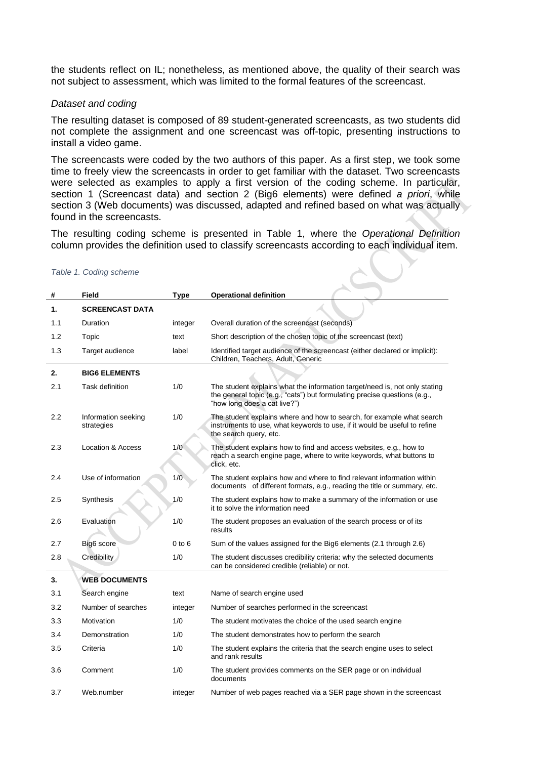the students reflect on IL; nonetheless, as mentioned above, the quality of their search was not subject to assessment, which was limited to the formal features of the screencast.

#### *Dataset and coding*

The resulting dataset is composed of 89 student-generated screencasts, as two students did not complete the assignment and one screencast was off-topic, presenting instructions to install a video game.

The screencasts were coded by the two authors of this paper. As a first step, we took some time to freely view the screencasts in order to get familiar with the dataset. Two screencasts were selected as examples to apply a first version of the coding scheme. In particular, section 1 (Screencast data) and section 2 (Big6 elements) were defined *a priori*, while section 3 (Web documents) was discussed, adapted and refined based on what was actually found in the screencasts.

The resulting coding scheme is presented in Table 1, where the *Operational Definition* column provides the definition used to classify screencasts according to each individual item.

| #   | Field                             | Type    | <b>Operational definition</b>                                                                                                                                                           |
|-----|-----------------------------------|---------|-----------------------------------------------------------------------------------------------------------------------------------------------------------------------------------------|
| 1.  | <b>SCREENCAST DATA</b>            |         |                                                                                                                                                                                         |
| 1.1 | Duration                          | integer | Overall duration of the screencast (seconds)                                                                                                                                            |
| 1.2 | Topic                             | text    | Short description of the chosen topic of the screencast (text)                                                                                                                          |
| 1.3 | Target audience                   | label   | Identified target audience of the screencast (either declared or implicit):<br>Children, Teachers, Adult, Generic                                                                       |
| 2.  | <b>BIG6 ELEMENTS</b>              |         |                                                                                                                                                                                         |
| 2.1 | Task definition                   | 1/0     | The student explains what the information target/need is, not only stating<br>the general topic (e.g., "cats") but formulating precise questions (e.g.,<br>"how long does a cat live?") |
| 2.2 | Information seeking<br>strategies | 1/0     | The student explains where and how to search, for example what search<br>instruments to use, what keywords to use, if it would be useful to refine<br>the search query, etc.            |
| 2.3 | <b>Location &amp; Access</b>      | 1/0     | The student explains how to find and access websites, e.g., how to<br>reach a search engine page, where to write keywords, what buttons to<br>click, etc.                               |
| 2.4 | Use of information                | 1/0     | The student explains how and where to find relevant information within<br>documents of different formats, e.g., reading the title or summary, etc.                                      |
| 2.5 | Synthesis                         | 1/0     | The student explains how to make a summary of the information or use<br>it to solve the information need                                                                                |
| 2.6 | Evaluation                        | 1/0     | The student proposes an evaluation of the search process or of its<br>results                                                                                                           |
| 2.7 | Big6 score                        | 0 to 6  | Sum of the values assigned for the Big6 elements (2.1 through 2.6)                                                                                                                      |
| 2.8 | Credibility                       | 1/0     | The student discusses credibility criteria: why the selected documents<br>can be considered credible (reliable) or not.                                                                 |
| 3.  | <b>WEB DOCUMENTS</b>              |         |                                                                                                                                                                                         |
| 3.1 | Search engine                     | text    | Name of search engine used                                                                                                                                                              |
| 3.2 | Number of searches                | integer | Number of searches performed in the screencast                                                                                                                                          |
| 3.3 | Motivation                        | 1/0     | The student motivates the choice of the used search engine                                                                                                                              |
| 3.4 | Demonstration                     | 1/0     | The student demonstrates how to perform the search                                                                                                                                      |
| 3.5 | Criteria                          | 1/0     | The student explains the criteria that the search engine uses to select<br>and rank results                                                                                             |
| 3.6 | Comment                           | 1/0     | The student provides comments on the SER page or on individual<br>documents                                                                                                             |
| 3.7 | Web.number                        | integer | Number of web pages reached via a SER page shown in the screencast                                                                                                                      |

#### *Table 1. Coding scheme*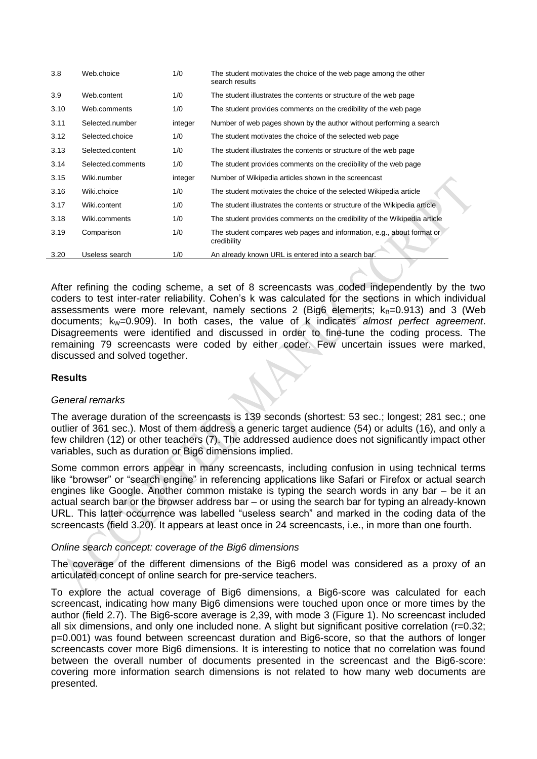| 3.8  | Web.choice        | 1/0     | The student motivates the choice of the web page among the other<br>search results   |
|------|-------------------|---------|--------------------------------------------------------------------------------------|
| 3.9  | Web.content       | 1/0     | The student illustrates the contents or structure of the web page                    |
| 3.10 | Web.comments      | 1/0     | The student provides comments on the credibility of the web page                     |
| 3.11 | Selected.number   | integer | Number of web pages shown by the author without performing a search                  |
| 3.12 | Selected.choice   | 1/0     | The student motivates the choice of the selected web page                            |
| 3.13 | Selected.content  | 1/0     | The student illustrates the contents or structure of the web page                    |
| 3.14 | Selected.comments | 1/0     | The student provides comments on the credibility of the web page                     |
| 3.15 | Wiki.number       | integer | Number of Wikipedia articles shown in the screencast                                 |
| 3.16 | Wiki.choice       | 1/0     | The student motivates the choice of the selected Wikipedia article                   |
| 3.17 | Wiki.content      | 1/0     | The student illustrates the contents or structure of the Wikipedia article           |
| 3.18 | Wiki.comments     | 1/0     | The student provides comments on the credibility of the Wikipedia article            |
| 3.19 | Comparison        | 1/0     | The student compares web pages and information, e.g., about format or<br>credibility |
| 3.20 | Useless search    | 1/0     | An already known URL is entered into a search bar.                                   |

After refining the coding scheme, a set of 8 screencasts was coded independently by the two coders to test inter-rater reliability. Cohen's k was calculated for the sections in which individual assessments were more relevant, namely sections 2 (Big6 elements;  $k_B$ =0.913) and 3 (Web documents; k<sub>w</sub>=0.909). In both cases, the value of k indicates *almost perfect agreement*. Disagreements were identified and discussed in order to fine-tune the coding process. The remaining 79 screencasts were coded by either coder. Few uncertain issues were marked, discussed and solved together.

# **Results**

#### *General remarks*

The average duration of the screencasts is 139 seconds (shortest: 53 sec.; longest; 281 sec.; one outlier of 361 sec.). Most of them address a generic target audience (54) or adults (16), and only a few children (12) or other teachers (7). The addressed audience does not significantly impact other variables, such as duration or Big6 dimensions implied.

Some common errors appear in many screencasts, including confusion in using technical terms like "browser" or "search engine" in referencing applications like Safari or Firefox or actual search engines like Google. Another common mistake is typing the search words in any bar – be it an actual search bar or the browser address bar – or using the search bar for typing an already-known URL. This latter occurrence was labelled "useless search" and marked in the coding data of the screencasts (field 3.20). It appears at least once in 24 screencasts, i.e., in more than one fourth.

# *Online search concept: coverage of the Big6 dimensions*

The coverage of the different dimensions of the Big6 model was considered as a proxy of an articulated concept of online search for pre-service teachers.

To explore the actual coverage of Big6 dimensions, a Big6-score was calculated for each screencast, indicating how many Big6 dimensions were touched upon once or more times by the author (field 2.7). The Big6-score average is 2,39, with mode 3 (Figure 1). No screencast included all six dimensions, and only one included none. A slight but significant positive correlation (r=0.32; p=0.001) was found between screencast duration and Big6-score, so that the authors of longer screencasts cover more Big6 dimensions. It is interesting to notice that no correlation was found between the overall number of documents presented in the screencast and the Big6-score: covering more information search dimensions is not related to how many web documents are presented.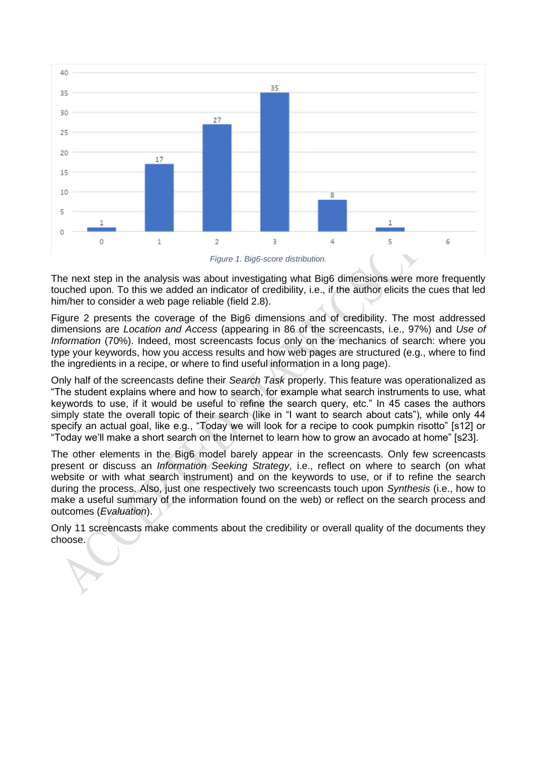

*Figure 1. Big6-score distribution.*

The next step in the analysis was about investigating what Big6 dimensions were more frequently touched upon. To this we added an indicator of credibility, i.e., if the author elicits the cues that led him/her to consider a web page reliable (field 2.8).

Figure 2 presents the coverage of the Big6 dimensions and of credibility. The most addressed dimensions are *Location and Access* (appearing in 86 of the screencasts, i.e., 97%) and *Use of Information* (70%). Indeed, most screencasts focus only on the mechanics of search: where you type your keywords, how you access results and how web pages are structured (e.g., where to find the ingredients in a recipe, or where to find useful information in a long page).

Only half of the screencasts define their *Search Task* properly. This feature was operationalized as "The student explains where and how to search, for example what search instruments to use, what keywords to use, if it would be useful to refine the search query, etc." In 45 cases the authors simply state the overall topic of their search (like in "I want to search about cats"), while only 44 specify an actual goal, like e.g., "Today we will look for a recipe to cook pumpkin risotto" [s12] or "Today we'll make a short search on the Internet to learn how to grow an avocado at home" [s23].

The other elements in the Big6 model barely appear in the screencasts. Only few screencasts present or discuss an *Information Seeking Strategy*, i.e., reflect on where to search (on what website or with what search instrument) and on the keywords to use, or if to refine the search during the process. Also, just one respectively two screencasts touch upon *Synthesis* (i.e., how to make a useful summary of the information found on the web) or reflect on the search process and outcomes (*Evaluation*).

Only 11 screencasts make comments about the credibility or overall quality of the documents they choose.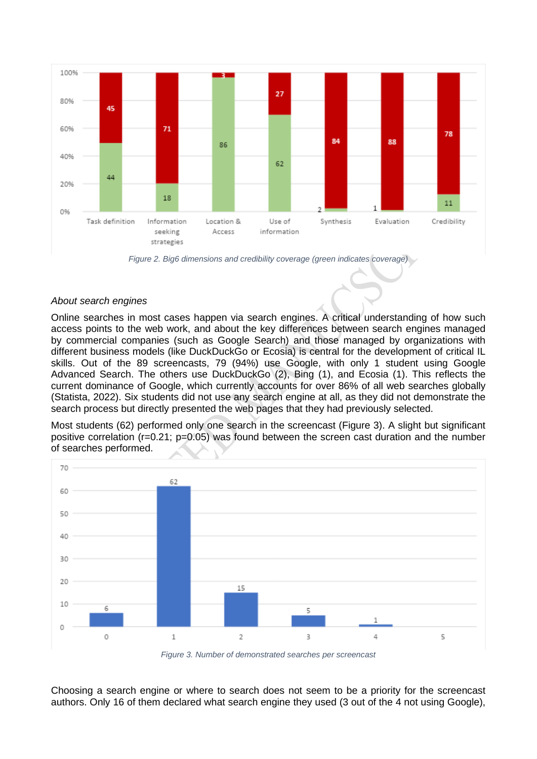

*Figure 2. Big6 dimensions and credibility coverage (green indicates coverage)*

#### *About search engines*

Online searches in most cases happen via search engines. A critical understanding of how such access points to the web work, and about the key differences between search engines managed by commercial companies (such as Google Search) and those managed by organizations with different business models (like DuckDuckGo or Ecosia) is central for the development of critical IL skills. Out of the 89 screencasts, 79 (94%) use Google, with only 1 student using Google Advanced Search. The others use DuckDuckGo (2), Bing (1), and Ecosia (1). This reflects the current dominance of Google, which currently accounts for over 86% of all web searches globally (Statista, 2022). Six students did not use any search engine at all, as they did not demonstrate the search process but directly presented the web pages that they had previously selected.

Most students (62) performed only one search in the screencast (Figure 3). A slight but significant positive correlation (r=0.21; p=0.05) was found between the screen cast duration and the number of searches performed.



*Figure 3. Number of demonstrated searches per screencast*

Choosing a search engine or where to search does not seem to be a priority for the screencast authors. Only 16 of them declared what search engine they used (3 out of the 4 not using Google),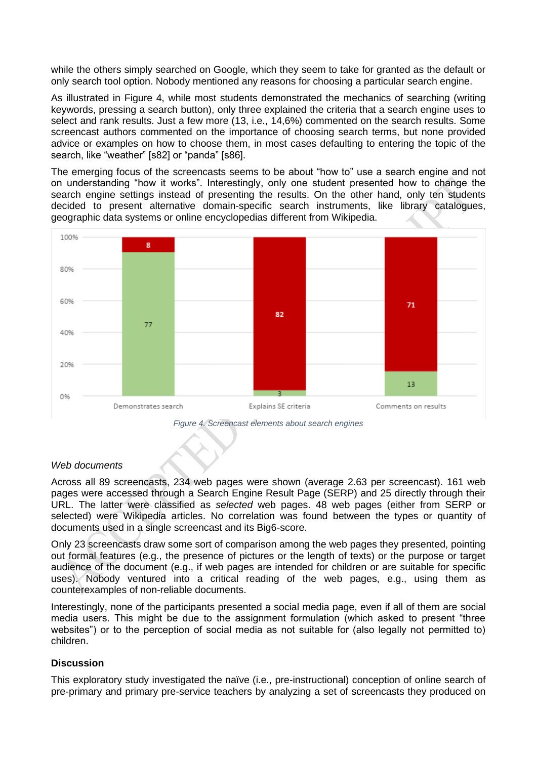while the others simply searched on Google, which they seem to take for granted as the default or only search tool option. Nobody mentioned any reasons for choosing a particular search engine.

As illustrated in Figure 4, while most students demonstrated the mechanics of searching (writing keywords, pressing a search button), only three explained the criteria that a search engine uses to select and rank results. Just a few more (13, i.e., 14,6%) commented on the search results. Some screencast authors commented on the importance of choosing search terms, but none provided advice or examples on how to choose them, in most cases defaulting to entering the topic of the search, like "weather" [s82] or "panda" [s86].

The emerging focus of the screencasts seems to be about "how to" use a search engine and not on understanding "how it works". Interestingly, only one student presented how to change the search engine settings instead of presenting the results. On the other hand, only ten students decided to present alternative domain-specific search instruments, like library catalogues, geographic data systems or online encyclopedias different from Wikipedia.



*Figure 4. Screencast elements about search engines*

# *Web documents*

Across all 89 screencasts, 234 web pages were shown (average 2.63 per screencast). 161 web pages were accessed through a Search Engine Result Page (SERP) and 25 directly through their URL. The latter were classified as *selected* web pages. 48 web pages (either from SERP or selected) were Wikipedia articles. No correlation was found between the types or quantity of documents used in a single screencast and its Big6-score.

Only 23 screencasts draw some sort of comparison among the web pages they presented, pointing out formal features (e.g., the presence of pictures or the length of texts) or the purpose or target audience of the document (e.g., if web pages are intended for children or are suitable for specific uses). Nobody ventured into a critical reading of the web pages, e.g., using them as counterexamples of non-reliable documents.

Interestingly, none of the participants presented a social media page, even if all of them are social media users. This might be due to the assignment formulation (which asked to present "three websites") or to the perception of social media as not suitable for (also legally not permitted to) children.

#### **Discussion**

This exploratory study investigated the naïve (i.e., pre-instructional) conception of online search of pre-primary and primary pre-service teachers by analyzing a set of screencasts they produced on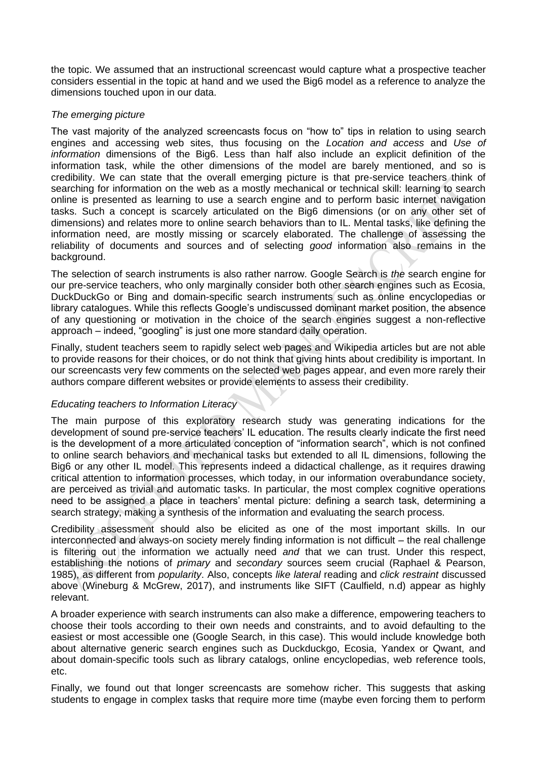the topic. We assumed that an instructional screencast would capture what a prospective teacher considers essential in the topic at hand and we used the Big6 model as a reference to analyze the dimensions touched upon in our data.

# *The emerging picture*

The vast majority of the analyzed screencasts focus on "how to" tips in relation to using search engines and accessing web sites, thus focusing on the *Location and access* and *Use of information* dimensions of the Big6. Less than half also include an explicit definition of the information task, while the other dimensions of the model are barely mentioned, and so is credibility. We can state that the overall emerging picture is that pre-service teachers think of searching for information on the web as a mostly mechanical or technical skill: learning to search online is presented as learning to use a search engine and to perform basic internet navigation tasks. Such a concept is scarcely articulated on the Big6 dimensions (or on any other set of dimensions) and relates more to online search behaviors than to IL. Mental tasks, like defining the information need, are mostly missing or scarcely elaborated. The challenge of assessing the reliability of documents and sources and of selecting *good* information also remains in the background.

The selection of search instruments is also rather narrow. Google Search is *the* search engine for our pre-service teachers, who only marginally consider both other search engines such as Ecosia, DuckDuckGo or Bing and domain-specific search instruments such as online encyclopedias or library catalogues. While this reflects Google's undiscussed dominant market position, the absence of any questioning or motivation in the choice of the search engines suggest a non-reflective approach – indeed, "googling" is just one more standard daily operation.

Finally, student teachers seem to rapidly select web pages and Wikipedia articles but are not able to provide reasons for their choices, or do not think that giving hints about credibility is important. In our screencasts very few comments on the selected web pages appear, and even more rarely their authors compare different websites or provide elements to assess their credibility.

# *Educating teachers to Information Literacy*

The main purpose of this exploratory research study was generating indications for the development of sound pre-service teachers' IL education. The results clearly indicate the first need is the development of a more articulated conception of "information search", which is not confined to online search behaviors and mechanical tasks but extended to all IL dimensions, following the Big6 or any other IL model. This represents indeed a didactical challenge, as it requires drawing critical attention to information processes, which today, in our information overabundance society, are perceived as trivial and automatic tasks. In particular, the most complex cognitive operations need to be assigned a place in teachers' mental picture: defining a search task, determining a search strategy, making a synthesis of the information and evaluating the search process.

Credibility assessment should also be elicited as one of the most important skills. In our interconnected and always-on society merely finding information is not difficult – the real challenge is filtering out the information we actually need *and* that we can trust. Under this respect, establishing the notions of *primary* and *secondary* sources seem crucial (Raphael & Pearson, 1985), as different from *popularity*. Also, concepts *like lateral* reading and *click restraint* discussed above (Wineburg & McGrew, 2017), and instruments like SIFT (Caulfield, n.d) appear as highly relevant.

A broader experience with search instruments can also make a difference, empowering teachers to choose their tools according to their own needs and constraints, and to avoid defaulting to the easiest or most accessible one (Google Search, in this case). This would include knowledge both about alternative generic search engines such as Duckduckgo, Ecosia, Yandex or Qwant, and about domain-specific tools such as library catalogs, online encyclopedias, web reference tools, etc.

Finally, we found out that longer screencasts are somehow richer. This suggests that asking students to engage in complex tasks that require more time (maybe even forcing them to perform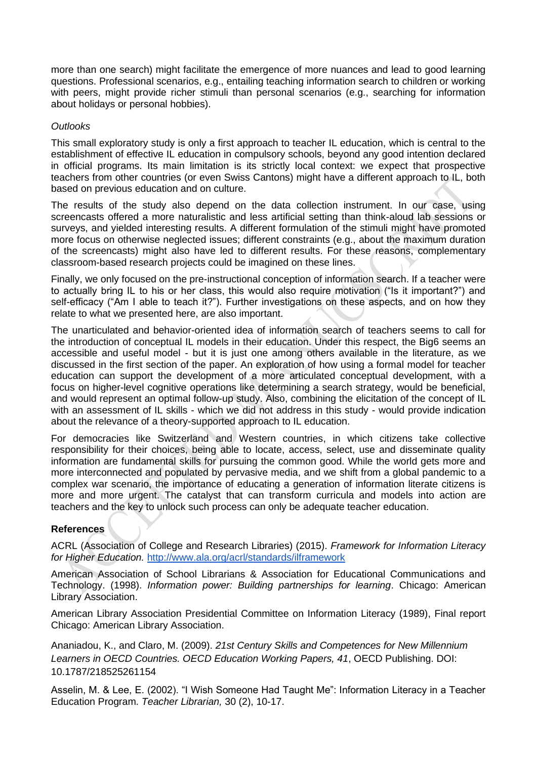more than one search) might facilitate the emergence of more nuances and lead to good learning questions. Professional scenarios, e.g., entailing teaching information search to children or working with peers, might provide richer stimuli than personal scenarios (e.g., searching for information about holidays or personal hobbies).

# *Outlooks*

This small exploratory study is only a first approach to teacher IL education, which is central to the establishment of effective IL education in compulsory schools, beyond any good intention declared in official programs. Its main limitation is its strictly local context: we expect that prospective teachers from other countries (or even Swiss Cantons) might have a different approach to IL, both based on previous education and on culture.

The results of the study also depend on the data collection instrument. In our case, using screencasts offered a more naturalistic and less artificial setting than think-aloud lab sessions or surveys, and yielded interesting results. A different formulation of the stimuli might have promoted more focus on otherwise neglected issues; different constraints (e.g., about the maximum duration of the screencasts) might also have led to different results. For these reasons, complementary classroom-based research projects could be imagined on these lines.

Finally, we only focused on the pre-instructional conception of information search. If a teacher were to actually bring IL to his or her class, this would also require motivation ("Is it important?") and self-efficacy ("Am I able to teach it?"). Further investigations on these aspects, and on how they relate to what we presented here, are also important.

The unarticulated and behavior-oriented idea of information search of teachers seems to call for the introduction of conceptual IL models in their education. Under this respect, the Big6 seems an accessible and useful model - but it is just one among others available in the literature, as we discussed in the first section of the paper. An exploration of how using a formal model for teacher education can support the development of a more articulated conceptual development, with a focus on higher-level cognitive operations like determining a search strategy, would be beneficial, and would represent an optimal follow-up study. Also, combining the elicitation of the concept of IL with an assessment of IL skills - which we did not address in this study - would provide indication about the relevance of a theory-supported approach to IL education.

For democracies like Switzerland and Western countries, in which citizens take collective responsibility for their choices, being able to locate, access, select, use and disseminate quality information are fundamental skills for pursuing the common good. While the world gets more and more interconnected and populated by pervasive media, and we shift from a global pandemic to a complex war scenario, the importance of educating a generation of information literate citizens is more and more urgent. The catalyst that can transform curricula and models into action are teachers and the key to unlock such process can only be adequate teacher education.

# **References**

ACRL (Association of College and Research Libraries) (2015). *Framework for Information Literacy for Higher Education.* <http://www.ala.org/acrl/standards/ilframework>

American Association of School Librarians & Association for Educational Communications and Technology. (1998). *Information power: Building partnerships for learning*. Chicago: American Library Association.

American Library Association Presidential Committee on Information Literacy (1989), Final report Chicago: American Library Association.

Ananiadou, K., and Claro, M. (2009). *21st Century Skills and Competences for New Millennium Learners in OECD Countries. OECD Education Working Papers, 41*, OECD Publishing. DOI: 10.1787/218525261154

Asselin, M. & Lee, E. (2002). "I Wish Someone Had Taught Me": Information Literacy in a Teacher Education Program. *Teacher Librarian,* 30 (2), 10-17.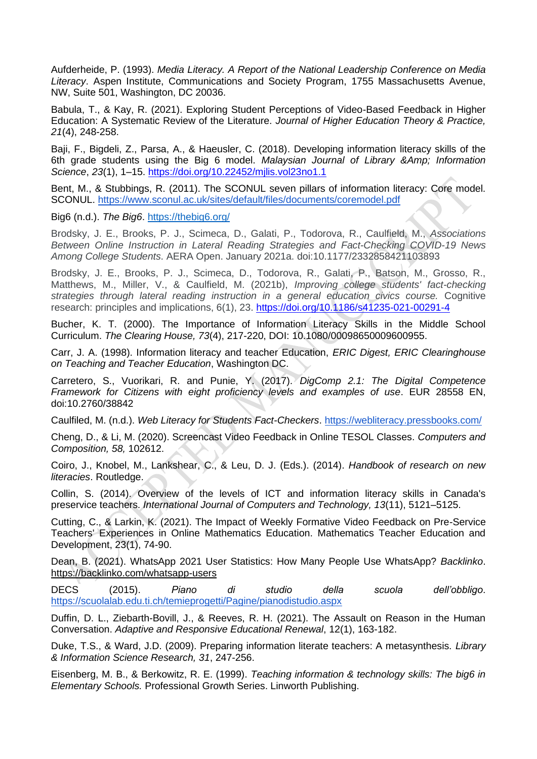Aufderheide, P. (1993). *Media Literacy. A Report of the National Leadership Conference on Media Literacy*. Aspen Institute, Communications and Society Program, 1755 Massachusetts Avenue, NW, Suite 501, Washington, DC 20036.

Babula, T., & Kay, R. (2021). Exploring Student Perceptions of Video-Based Feedback in Higher Education: A Systematic Review of the Literature. *Journal of Higher Education Theory & Practice, 21*(4), 248-258.

Baji, F., Bigdeli, Z., Parsa, A., & Haeusler, C. (2018). Developing information literacy skills of the 6th grade students using the Big 6 model. *Malaysian Journal of Library &Amp; Information Science*, *23*(1), 1–15.<https://doi.org/10.22452/mjlis.vol23no1.1>

Bent, M., & Stubbings, R. (2011). The SCONUL seven pillars of information literacy: Core model. SCONUL.<https://www.sconul.ac.uk/sites/default/files/documents/coremodel.pdf>

Big6 (n.d.). *The Big6*.<https://thebig6.org/>

Brodsky, J. E., Brooks, P. J., Scimeca, D., Galati, P., Todorova, R., Caulfield, M., *Associations Between Online Instruction in Lateral Reading Strategies and Fact-Checking COVID-19 News Among College Students*. AERA Open. January 2021a. doi:10.1177/2332858421103893

Brodsky, J. E., Brooks, P. J., Scimeca, D., Todorova, R., Galati, P., Batson, M., Grosso, R., Matthews, M., Miller, V., & Caulfield, M. (2021b), *Improving college students' fact-checking strategies through lateral reading instruction in a general education civics course.* Cognitive research: principles and implications, 6(1), 23[.](https://doi.org/10.1186/s41235-021-00291-4) <https://doi.org/10.1186/s41235-021-00291-4>

Bucher, K. T. (2000). The Importance of Information Literacy Skills in the Middle School Curriculum. *The Clearing House, 73*(4), 217-220, DOI: 10.1080/00098650009600955.

Carr, J. A. (1998). Information literacy and teacher Education, *ERIC Digest, ERIC Clearinghouse on Teaching and Teacher Education*, Washington DC.

Carretero, S., Vuorikari, R. and Punie, Y. (2017). *DigComp 2.1: The Digital Competence Framework for Citizens with eight proficiency levels and examples of use*. EUR 28558 EN, doi:10.2760/38842

Caulfiled, M. (n.d.). *Web Literacy for Students Fact-Checkers*.<https://webliteracy.pressbooks.com/>

Cheng, D., & Li, M. (2020). Screencast Video Feedback in Online TESOL Classes. *Computers and Composition, 58,* 102612.

Coiro, J., Knobel, M., Lankshear, C., & Leu, D. J. (Eds.). (2014). *Handbook of research on new literacies*. Routledge.

Collin, S. (2014). Overview of the levels of ICT and information literacy skills in Canada's preservice teachers. *International Journal of Computers and Technology, 13*(11), 5121–5125.

Cutting, C., & Larkin, K. (2021). The Impact of Weekly Formative Video Feedback on Pre-Service Teachers' Experiences in Online Mathematics Education. Mathematics Teacher Education and Development, 23(1), 74-90.

Dean, B. (2021). WhatsApp 2021 User Statistics: How Many People Use WhatsApp? *Backlinko*. <https://backlinko.com/whatsapp-users>

DECS (2015). *Piano di studio della scuola dell'obbligo*. <https://scuolalab.edu.ti.ch/temieprogetti/Pagine/pianodistudio.aspx>

Duffin, D. L., Ziebarth-Bovill, J., & Reeves, R. H. (2021). The Assault on Reason in the Human Conversation. *Adaptive and Responsive Educational Renewal*, 12(1), 163-182.

Duke, T.S., & Ward, J.D. (2009). Preparing information literate teachers: A metasynthesis. *Library & Information Science Research, 31*, 247-256.

Eisenberg, M. B., & Berkowitz, R. E. (1999). *Teaching information & technology skills: The big6 in Elementary Schools.* Professional Growth Series. Linworth Publishing.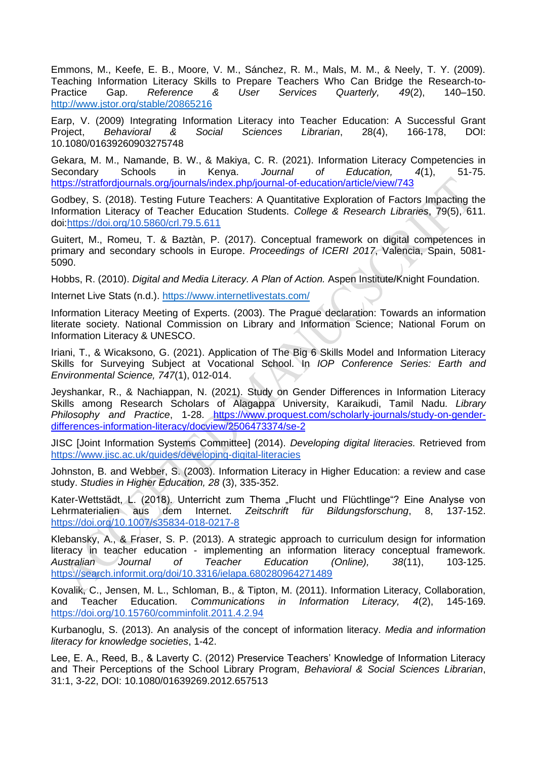Emmons, M., Keefe, E. B., Moore, V. M., Sánchez, R. M., Mals, M. M., & Neely, T. Y. (2009). Teaching Information Literacy Skills to Prepare Teachers Who Can Bridge the Research-to-Practice Gap. *Reference & User Services Quarterly, 49*(2), 140–150. <http://www.jstor.org/stable/20865216>

Earp, V. (2009) Integrating Information Literacy into Teacher Education: A Successful Grant Project, *Behavioral & Social Sciences Librarian*, 28(4), 166-178, DOI: 10.1080/01639260903275748

Gekara, M. M., Namande, B. W., & Makiya, C. R. (2021). Information Literacy Competencies in Secondary Schools in Kenya. *Journal of Education, 4*(1), 51-75. <https://stratfordjournals.org/journals/index.php/journal-of-education/article/view/743>

Godbey, S. (2018). Testing Future Teachers: A Quantitative Exploration of Factors Impacting the Information Literacy of Teacher Education Students. *College & Research Libraries*, 79(5), 611. doi[:https://doi.org/10.5860/crl.79.5.611](https://doi.org/10.5860/crl.79.5.611)

Guitert, M., Romeu, T. & Baztàn, P. (2017). Conceptual framework on digital competences in primary and secondary schools in Europe. *Proceedings of ICERI 2017*, Valencia, Spain, 5081- 5090.

Hobbs, R. (2010). *Digital and Media Literacy. A Plan of Action.* Aspen Institute/Knight Foundation.

Internet Live Stats (n.d.).<https://www.internetlivestats.com/>

Information Literacy Meeting of Experts. (2003). The Prague declaration: Towards an information literate society. National Commission on Library and Information Science; National Forum on Information Literacy & UNESCO.

Iriani, T., & Wicaksono, G. (2021). Application of The Big 6 Skills Model and Information Literacy Skills for Surveying Subject at Vocational School. In *IOP Conference Series: Earth and Environmental Science, 747*(1), 012-014.

Jeyshankar, R., & Nachiappan, N. (2021). Study on Gender Differences in Information Literacy Skills among Research Scholars of Alagappa University, Karaikudi, Tamil Nadu. *Library Philosophy and Practice*, 1-28. [https://www.proquest.com/scholarly-journals/study-on-gender](https://www.proquest.com/scholarly-journals/study-on-gender-differences-information-literacy/docview/2506473374/se-2)[differences-information-literacy/docview/2506473374/se-2](https://www.proquest.com/scholarly-journals/study-on-gender-differences-information-literacy/docview/2506473374/se-2)

JISC [Joint Information Systems Committee] (2014). *Developing digital literacies.* Retrieved from <https://www.jisc.ac.uk/guides/developing-digital-literacies>

Johnston, B. and Webber, S. (2003). Information Literacy in Higher Education: a review and case study. *Studies in Higher Education, 28* (3), 335-352.

Kater-Wettstädt, L. (2018). Unterricht zum Thema "Flucht und Flüchtlinge"? Eine Analyse von<br>Lehrmaterialien aus dem Internet. *Zeitschrift für Bildungsforschung*, 8, 137-152. Lehrmaterialien aus dem Internet. *Zeitschrift für Bildungsforschung*, 8, 137-152. <https://doi.org/10.1007/s35834-018-0217-8>

Klebansky, A., & Fraser, S. P. (2013). A strategic approach to curriculum design for information literacy in teacher education - implementing an information literacy conceptual framework. *Australian Journal of Teacher Education (Online), 38*(11), 103-125. <https://search.informit.org/doi/10.3316/ielapa.680280964271489>

Kovalik, C., Jensen, M. L., Schloman, B., & Tipton, M. (2011). Information Literacy, Collaboration, and Teacher Education. *Communications in Information Literacy, 4*(2), 145-169. <https://doi.org/10.15760/comminfolit.2011.4.2.94>

Kurbanoglu, S. (2013). An analysis of the concept of information literacy. *Media and information literacy for knowledge societies*, 1-42.

Lee, E. A., Reed, B., & Laverty C. (2012) Preservice Teachers' Knowledge of Information Literacy and Their Perceptions of the School Library Program, *Behavioral & Social Sciences Librarian*, 31:1, 3-22, DOI: 10.1080/01639269.2012.657513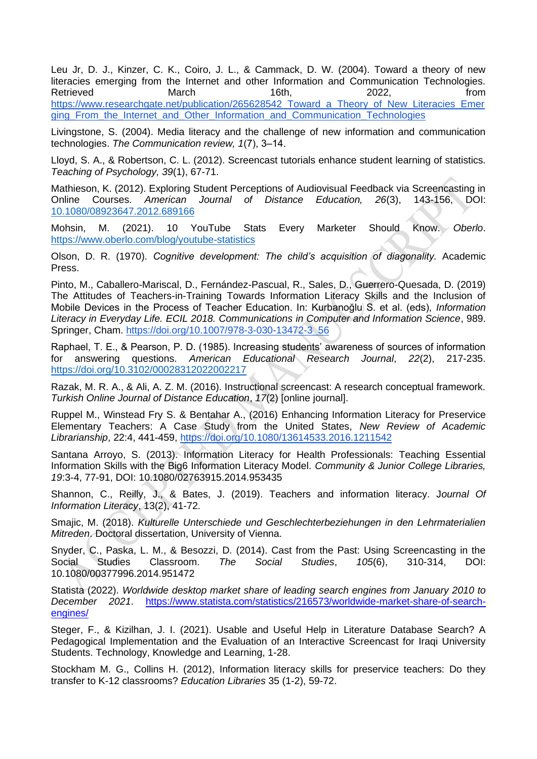Leu Jr, D. J., Kinzer, C. K., Coiro, J. L., & Cammack, D. W. (2004). Toward a theory of new literacies emerging from the Internet and other Information and Communication Technologies. Retrieved March 16th, 2022, from [https://www.researchgate.net/publication/265628542\\_Toward\\_a\\_Theory\\_of\\_New\\_Literacies\\_Emer](https://www.researchgate.net/publication/265628542_Toward_a_Theory_of_New_Literacies_Emerging_From_the_Internet_and_Other_Information_and_Communication_Technologies) ging From the Internet and Other Information and Communication Technologies

Livingstone, S. (2004). Media literacy and the challenge of new information and communication technologies. *The Communication review, 1*(7), 3‒14.

Lloyd, S. A., & Robertson, C. L. (2012). Screencast tutorials enhance student learning of statistics. *Teaching of Psychology, 39*(1), 67-71.

Mathieson, K. (2012). Exploring Student Perceptions of Audiovisual Feedback via Screencasting in Online Courses. *American Journal of Distance Education, 26*(3), 143-156, DOI: [10.1080/08923647.2012.689166](https://doi.org/10.1080/08923647.2012.689166)

Mohsin, M. (2021). 10 YouTube Stats Every Marketer Should Know. *Oberlo*. <https://www.oberlo.com/blog/youtube-statistics>

Olson, D. R. (1970). *Cognitive development: The child's acquisition of diagonality.* Academic Press.

Pinto, M., Caballero-Mariscal, D., Fernández-Pascual, R., Sales, D., Guerrero-Quesada, D. (2019) The Attitudes of Teachers-in-Training Towards Information Literacy Skills and the Inclusion of Mobile Devices in the Process of Teacher Education. In: Kurbanoğlu S. et al. (eds), *Information Literacy in Everyday Life. ECIL 2018. Communications in Computer and Information Science*, 989. Springer, Cham. [https://doi.org/10.1007/978-3-030-13472-3\\_56](https://doi.org/10.1007/978-3-030-13472-3_56)

Raphael, T. E., & Pearson, P. D. (1985). Increasing students' awareness of sources of information for answering questions. *American Educational Research Journal*, *22*(2), 217-235. [https://doi.org/10.3102/00028312022002217](https://doi.org/10.3102%2F00028312022002217)

Razak, M. R. A., & Ali, A. Z. M. (2016). Instructional screencast: A research conceptual framework. *Turkish Online Journal of Distance Education*, *17*(2) [online journal].

Ruppel M., Winstead Fry S. & Bentahar A., (2016) Enhancing Information Literacy for Preservice Elementary Teachers: A Case Study from the United States, *New Review of Academic Librarianship*, 22:4, 441-459,<https://doi.org/10.1080/13614533.2016.1211542>

Santana Arroyo, S. (2013). Information Literacy for Health Professionals: Teaching Essential Information Skills with the Big6 Information Literacy Model. *Community & Junior College Libraries, 19*:3-4, 77-91, DOI: 10.1080/02763915.2014.953435

Shannon, C., Reilly, J., & Bates, J. (2019). Teachers and information literacy. J*ournal Of Information Literacy*, 13(2), 41-72.

Smajic, M. (2018). *Kulturelle Unterschiede und Geschlechterbeziehungen in den Lehrmaterialien Mitreden*. Doctoral dissertation, University of Vienna.

Snyder, C., Paska, L. M., & Besozzi, D. (2014). Cast from the Past: Using Screencasting in the Social Studies Classroom. *The Social Studies*, *105*(6), 310-314, DOI: 10.1080/00377996.2014.951472

Statista (2022). *Worldwide desktop market share of leading search engines from January 2010 to December 2021*. [https://www.statista.com/statistics/216573/worldwide-market-share-of-search](https://www.statista.com/statistics/216573/worldwide-market-share-of-search-engines/)[engines/](https://www.statista.com/statistics/216573/worldwide-market-share-of-search-engines/)

Steger, F., & Kizilhan, J. I. (2021). Usable and Useful Help in Literature Database Search? A Pedagogical Implementation and the Evaluation of an Interactive Screencast for Iraqi University Students. Technology, Knowledge and Learning, 1-28.

Stockham M. G., Collins H. (2012), Information literacy skills for preservice teachers: Do they transfer to K-12 classrooms? *Education Libraries* 35 (1-2), 59-72.